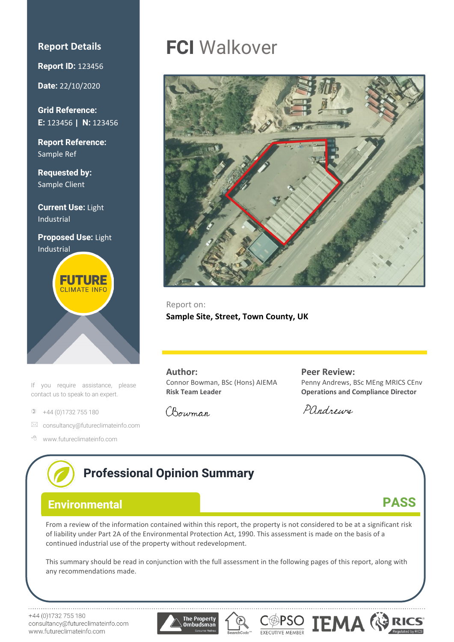### **Report Details**

**Report ID:** 123456

**Date:** 22/10/2020

**Grid Reference: E:** 123456 **| N:** 123456

**Report Reference:** Sample Ref

**Requested by:**  Sample Client

**Current Use:** Light Industrial

**Proposed Use:** Light Industrial



If you require assistance, please contact us to speak to an expert.

 $\Phi$  +44 (0)1732 755 180

www.futureclimateinfo.com

- $\boxtimes$  [consultancy@futureclimateinfo.com](mailto:consultancy@futureclimateinfo.com)
- www.futureclimateinfo.com

# **FCI** Walkover



Report on: **Sample Site, Street, Town County, UK**

**Author:** Connor Bowman, BSc (Hons) AIEMA **Risk Team Leader**

**Peer Review:** Penny Andrews, BSc MEng MRICS CEnv **Operations and Compliance Director**

Pandrews

## **Professional Opinion Summary PASS Environmental**From a review of the information contained within this report, the property is not considered to be at a significant risk of liability under Part 2A of the Environmental Protection Act, 1990. This assessment is made on the basis of a continued industrial use of the property without redevelopment. This summary should be read in conjunction with the full assessment in the following pages of this report, along with any recommendations made. COPSO **TEMA** +44 (0)1732 755 180 **The Property** consultancy@futureclimateinfo.com ombudsmar

Chowman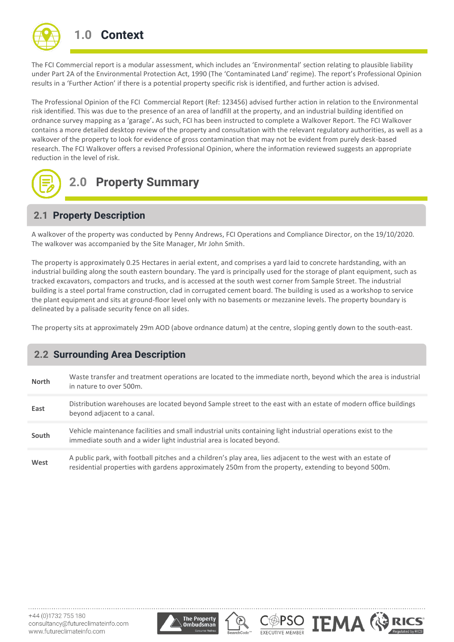

The FCI Commercial report is a modular assessment, which includes an 'Environmental' section relating to plausible liability under Part 2A of the Environmental Protection Act, 1990 (The 'Contaminated Land' regime). The report's Professional Opinion results in a 'Further Action' if there is a potential property specific risk is identified, and further action is advised.

The Professional Opinion of the FCI Commercial Report (Ref: 123456) advised further action in relation to the Environmental risk identified. This was due to the presence of an area of landfill at the property, and an industrial building identified on ordnance survey mapping as a 'garage'**.** As such, FCI has been instructed to complete a Walkover Report. The FCI Walkover contains a more detailed desktop review of the property and consultation with the relevant regulatory authorities, as well as a walkover of the property to look for evidence of gross contamination that may not be evident from purely desk-based research. The FCI Walkover offers a revised Professional Opinion, where the information reviewed suggests an appropriate reduction in the level of risk.



## **2.0 Property Summary**

## **2.1 Property Description**

A walkover of the property was conducted by Penny Andrews, FCI Operations and Compliance Director, on the 19/10/2020. The walkover was accompanied by the Site Manager, Mr John Smith.

The property is approximately 0.25 Hectares in aerial extent, and comprises a yard laid to concrete hardstanding, with an industrial building along the south eastern boundary. The yard is principally used for the storage of plant equipment, such as tracked excavators, compactors and trucks, and is accessed at the south west corner from Sample Street. The industrial building is a steel portal frame construction, clad in corrugated cement board. The building is used as a workshop to service the plant equipment and sits at ground-floor level only with no basements or mezzanine levels. The property boundary is delineated by a palisade security fence on all sides.

The property sits at approximately 29m AOD (above ordnance datum) at the centre, sloping gently down to the south-east.

## **2.2 Surrounding Area Description**

| North | Waste transfer and treatment operations are located to the immediate north, beyond which the area is industrial<br>in nature to over 500m.                                                                          |
|-------|---------------------------------------------------------------------------------------------------------------------------------------------------------------------------------------------------------------------|
|       |                                                                                                                                                                                                                     |
| East  | Distribution warehouses are located beyond Sample street to the east with an estate of modern office buildings<br>beyond adjacent to a canal.                                                                       |
|       |                                                                                                                                                                                                                     |
| South | Vehicle maintenance facilities and small industrial units containing light industrial operations exist to the<br>immediate south and a wider light industrial area is located beyond.                               |
|       |                                                                                                                                                                                                                     |
| West  | A public park, with football pitches and a children's play area, lies adjacent to the west with an estate of<br>residential properties with gardens approximately 250m from the property, extending to beyond 500m. |





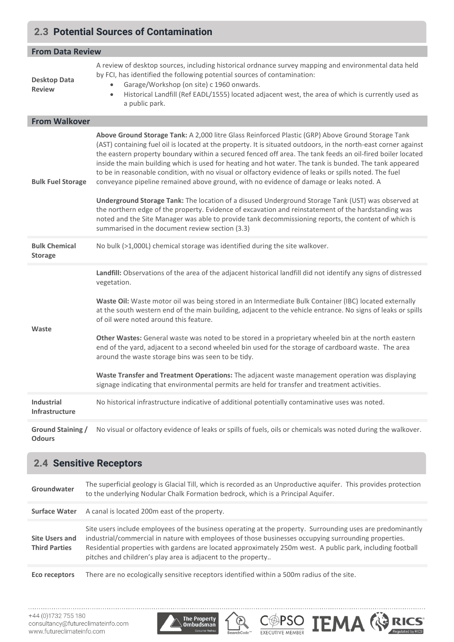## **2.3 Potential Sources of Contamination**

| <b>From Data Review</b>                   |                                                                                                                                                                                                                                                                                                                                                                                                                                                                                                                                                                                                                                                                                                                                                                                                                                                                                                                                                                         |  |
|-------------------------------------------|-------------------------------------------------------------------------------------------------------------------------------------------------------------------------------------------------------------------------------------------------------------------------------------------------------------------------------------------------------------------------------------------------------------------------------------------------------------------------------------------------------------------------------------------------------------------------------------------------------------------------------------------------------------------------------------------------------------------------------------------------------------------------------------------------------------------------------------------------------------------------------------------------------------------------------------------------------------------------|--|
| <b>Desktop Data</b><br><b>Review</b>      | A review of desktop sources, including historical ordnance survey mapping and environmental data held<br>by FCI, has identified the following potential sources of contamination:<br>Garage/Workshop (on site) c 1960 onwards.<br>Historical Landfill (Ref EADL/1555) located adjacent west, the area of which is currently used as<br>$\bullet$<br>a public park.                                                                                                                                                                                                                                                                                                                                                                                                                                                                                                                                                                                                      |  |
| <b>From Walkover</b>                      |                                                                                                                                                                                                                                                                                                                                                                                                                                                                                                                                                                                                                                                                                                                                                                                                                                                                                                                                                                         |  |
| <b>Bulk Fuel Storage</b>                  | Above Ground Storage Tank: A 2,000 litre Glass Reinforced Plastic (GRP) Above Ground Storage Tank<br>(AST) containing fuel oil is located at the property. It is situated outdoors, in the north-east corner against<br>the eastern property boundary within a secured fenced off area. The tank feeds an oil-fired boiler located<br>inside the main building which is used for heating and hot water. The tank is bunded. The tank appeared<br>to be in reasonable condition, with no visual or olfactory evidence of leaks or spills noted. The fuel<br>conveyance pipeline remained above ground, with no evidence of damage or leaks noted. A<br>Underground Storage Tank: The location of a disused Underground Storage Tank (UST) was observed at<br>the northern edge of the property. Evidence of excavation and reinstatement of the hardstanding was<br>noted and the Site Manager was able to provide tank decommissioning reports, the content of which is |  |
|                                           | summarised in the document review section (3.3)                                                                                                                                                                                                                                                                                                                                                                                                                                                                                                                                                                                                                                                                                                                                                                                                                                                                                                                         |  |
| <b>Bulk Chemical</b><br><b>Storage</b>    | No bulk (>1,000L) chemical storage was identified during the site walkover.                                                                                                                                                                                                                                                                                                                                                                                                                                                                                                                                                                                                                                                                                                                                                                                                                                                                                             |  |
| Waste                                     | Landfill: Observations of the area of the adjacent historical landfill did not identify any signs of distressed<br>vegetation.<br>Waste Oil: Waste motor oil was being stored in an Intermediate Bulk Container (IBC) located externally<br>at the south western end of the main building, adjacent to the vehicle entrance. No signs of leaks or spills<br>of oil were noted around this feature.<br>Other Wastes: General waste was noted to be stored in a proprietary wheeled bin at the north eastern<br>end of the yard, adjacent to a second wheeled bin used for the storage of cardboard waste. The area<br>around the waste storage bins was seen to be tidy.<br>Waste Transfer and Treatment Operations: The adjacent waste management operation was displaying<br>signage indicating that environmental permits are held for transfer and treatment activities.                                                                                             |  |
| <b>Industrial</b><br>Infrastructure       | No historical infrastructure indicative of additional potentially contaminative uses was noted.                                                                                                                                                                                                                                                                                                                                                                                                                                                                                                                                                                                                                                                                                                                                                                                                                                                                         |  |
| <b>Ground Staining /</b><br><b>Odours</b> | No visual or olfactory evidence of leaks or spills of fuels, oils or chemicals was noted during the walkover.                                                                                                                                                                                                                                                                                                                                                                                                                                                                                                                                                                                                                                                                                                                                                                                                                                                           |  |

| <b>2.4 Sensitive Receptors</b>         |                                                                                                                                                                                                                                                                                                                                                                                                  |  |
|----------------------------------------|--------------------------------------------------------------------------------------------------------------------------------------------------------------------------------------------------------------------------------------------------------------------------------------------------------------------------------------------------------------------------------------------------|--|
| Groundwater                            | The superficial geology is Glacial Till, which is recorded as an Unproductive aquifer. This provides protection<br>to the underlying Nodular Chalk Formation bedrock, which is a Principal Aquifer.                                                                                                                                                                                              |  |
| <b>Surface Water</b>                   | A canal is located 200m east of the property.                                                                                                                                                                                                                                                                                                                                                    |  |
| Site Users and<br><b>Third Parties</b> | Site users include employees of the business operating at the property. Surrounding uses are predominantly<br>industrial/commercial in nature with employees of those businesses occupying surrounding properties.<br>Residential properties with gardens are located approximately 250m west. A public park, including football<br>pitches and children's play area is adjacent to the property |  |
| Eco receptors                          | There are no ecologically sensitive receptors identified within a 500m radius of the site.                                                                                                                                                                                                                                                                                                       |  |

 $\bigotimes_{\texttt{searchCode}}$ 

COPSO **TEMA** GRICS

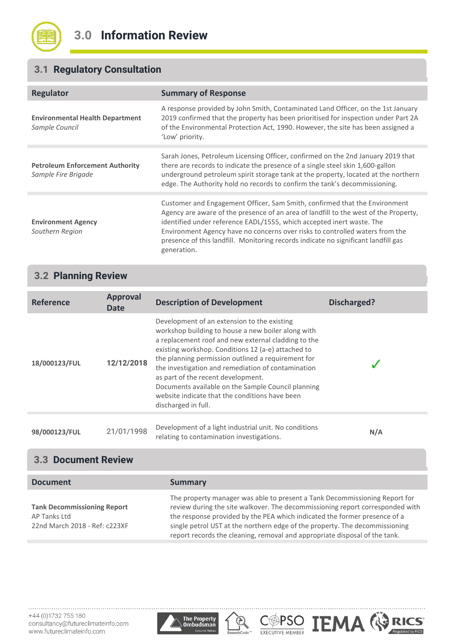

## **3.1 Regulatory Consultation**

| Regulator                                                     | <b>Summary of Response</b>                                                                                                                                                                                                                                                                                                                                                                                                       |  |
|---------------------------------------------------------------|----------------------------------------------------------------------------------------------------------------------------------------------------------------------------------------------------------------------------------------------------------------------------------------------------------------------------------------------------------------------------------------------------------------------------------|--|
| <b>Environmental Health Department</b><br>Sample Council      | A response provided by John Smith, Contaminated Land Officer, on the 1st January<br>2019 confirmed that the property has been prioritised for inspection under Part 2A<br>of the Environmental Protection Act, 1990. However, the site has been assigned a<br>'Low' priority.                                                                                                                                                    |  |
| <b>Petroleum Enforcement Authority</b><br>Sample Fire Brigade | Sarah Jones, Petroleum Licensing Officer, confirmed on the 2nd January 2019 that<br>there are records to indicate the presence of a single steel skin 1,600-gallon<br>underground petroleum spirit storage tank at the property, located at the northern<br>edge. The Authority hold no records to confirm the tank's decommissioning.                                                                                           |  |
| <b>Environment Agency</b><br>Southern Region                  | Customer and Engagement Officer, Sam Smith, confirmed that the Environment<br>Agency are aware of the presence of an area of landfill to the west of the Property,<br>identified under reference EADL/1555, which accepted inert waste. The<br>Environment Agency have no concerns over risks to controlled waters from the<br>presence of this landfill. Monitoring records indicate no significant landfill gas<br>generation. |  |

## **3.2 Planning Review**

| <b>Reference</b> | <b>Approval</b><br><b>Date</b> | <b>Description of Development</b>                                                                                                                                                                                                                                                                                                                                                                                                                                                               | <b>Discharged?</b> |
|------------------|--------------------------------|-------------------------------------------------------------------------------------------------------------------------------------------------------------------------------------------------------------------------------------------------------------------------------------------------------------------------------------------------------------------------------------------------------------------------------------------------------------------------------------------------|--------------------|
| 18/000123/FUL    | 12/12/2018                     | Development of an extension to the existing<br>workshop building to house a new boiler along with<br>a replacement roof and new external cladding to the<br>existing workshop. Conditions 12 (a-e) attached to<br>the planning permission outlined a requirement for<br>the investigation and remediation of contamination<br>as part of the recent development.<br>Documents available on the Sample Council planning<br>website indicate that the conditions have been<br>discharged in full. |                    |
| 98/000123/FUL    | 21/01/1998                     | Development of a light industrial unit. No conditions<br>relating to contamination investigations.                                                                                                                                                                                                                                                                                                                                                                                              | N/A                |

## **3.3 Document Review**

| <b>Document</b>                                                                     | <b>Summary</b>                                                                                                                                                                                                                                                                                                                                                                                        |
|-------------------------------------------------------------------------------------|-------------------------------------------------------------------------------------------------------------------------------------------------------------------------------------------------------------------------------------------------------------------------------------------------------------------------------------------------------------------------------------------------------|
| <b>Tank Decommissioning Report</b><br>AP Tanks Ltd<br>22nd March 2018 - Ref: c223XF | The property manager was able to present a Tank Decommissioning Report for<br>review during the site walkover. The decommissioning report corresponded with<br>the response provided by the PEA which indicated the former presence of a<br>single petrol UST at the northern edge of the property. The decommissioning<br>report records the cleaning, removal and appropriate disposal of the tank. |





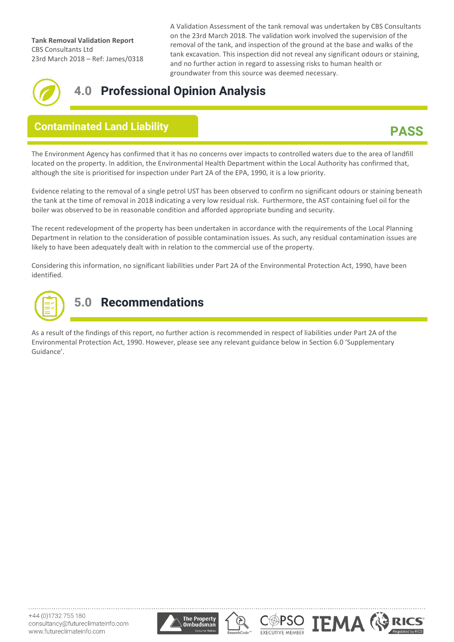**Tank Removal Validation Report** CBS Consultants Ltd 23rd March 2018 – Ref: James/0318 A Validation Assessment of the tank removal was undertaken by CBS Consultants on the 23rd March 2018. The validation work involved the supervision of the removal of the tank, and inspection of the ground at the base and walks of the tank excavation. This inspection did not reveal any significant odours or staining, and no further action in regard to assessing risks to human health or groundwater from this source was deemed necessary.



## **4.0 Professional Opinion Analysis**

## **Contaminated Land Liability**

## **PASS**

The Environment Agency has confirmed that it has no concerns over impacts to controlled waters due to the area of landfill located on the property. In addition, the Environmental Health Department within the Local Authority has confirmed that, although the site is prioritised for inspection under Part 2A of the EPA, 1990, it is a low priority. **Assessment**

Evidence relating to the removal of a single petrol UST has been observed to confirm no significant odours or staining beneath the tank at the time of removal in 2018 indicating a very low residual risk. Furthermore, the AST containing fuel oil for the boiler was observed to be in reasonable condition and afforded appropriate bunding and security.

The recent redevelopment of the property has been undertaken in accordance with the requirements of the Local Planning Department in relation to the consideration of possible contamination issues. As such, any residual contamination issues are likely to have been adequately dealt with in relation to the commercial use of the property.

Considering this information, no significant liabilities under Part 2A of the Environmental Protection Act, 1990, have been identified.



## **5.0 Recommendations**

As a result of the findings of this report, no further action is recommended in respect of liabilities under Part 2A of the Environmental Protection Act, 1990. However, please see any relevant guidance below in Section 6.0 'Supplementary Guidance'.





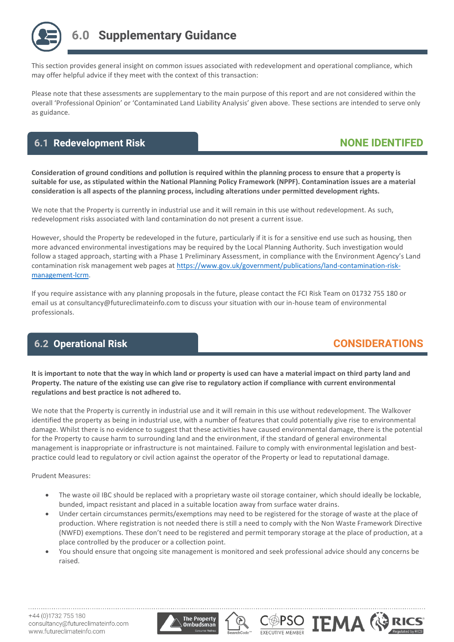

This section provides general insight on common issues associated with redevelopment and operational compliance, which may offer helpful advice if they meet with the context of this transaction:

Please note that these assessments are supplementary to the main purpose of this report and are not considered within the overall 'Professional Opinion' or 'Contaminated Land Liability Analysis' given above. These sections are intended to serve only as guidance.

## **NONE IDENTIFED 6.1 Redevelopment Risk**

**Consideration of ground conditions and pollution is required within the planning process to ensure that a property is suitable for use, as stipulated within the National Planning Policy Framework (NPPF). Contamination issues are a material consideration is all aspects of the planning process, including alterations under permitted development rights.**

We note that the Property is currently in industrial use and it will remain in this use without redevelopment. As such, redevelopment risks associated with land contamination do not present a current issue.

However, should the Property be redeveloped in the future, particularly if it is for a sensitive end use such as housing, then more advanced environmental investigations may be required by the Local Planning Authority. Such investigation would follow a staged approach, starting with a Phase 1 Preliminary Assessment, in compliance with the Environment Agency's Land contamination risk management web pages at [https://www.gov.uk/government/publications/land-contamination-risk](https://www.gov.uk/government/publications/land-contamination-risk-management-lcrm)[management-lcrm.](https://www.gov.uk/government/publications/land-contamination-risk-management-lcrm)

If you require assistance with any planning proposals in the future, please contact the FCI Risk Team on 01732 755 180 or email us at consultancy@futureclimateinfo.com to discuss your situation with our in-house team of environmental professionals.

## **6.2 Operational Risk**

## **CONSIDERATIONS**

**IEMA ®** 

**It is important to note that the way in which land or property is used can have a material impact on third party land and Property. The nature of the existing use can give rise to regulatory action if compliance with current environmental regulations and best practice is not adhered to.**

We note that the Property is currently in industrial use and it will remain in this use without redevelopment. The Walkover identified the property as being in industrial use, with a number of features that could potentially give rise to environmental damage. Whilst there is no evidence to suggest that these activities have caused environmental damage, there is the potential for the Property to cause harm to surrounding land and the environment, if the standard of general environmental management is inappropriate or infrastructure is not maintained. Failure to comply with environmental legislation and bestpractice could lead to regulatory or civil action against the operator of the Property or lead to reputational damage.

Prudent Measures:

- The waste oil IBC should be replaced with a proprietary waste oil storage container, which should ideally be lockable, bunded, impact resistant and placed in a suitable location away from surface water drains.
- Under certain circumstances permits/exemptions may need to be registered for the storage of waste at the place of production. Where registration is not needed there is still a need to comply with the Non Waste Framework Directive (NWFD) exemptions. These don't need to be registered and permit temporary storage at the place of production, at a place controlled by the producer or a collection point.
- You should ensure that ongoing site management is monitored and seek professional advice should any concerns be raised.

**EXECUTIVE MEMBER** 

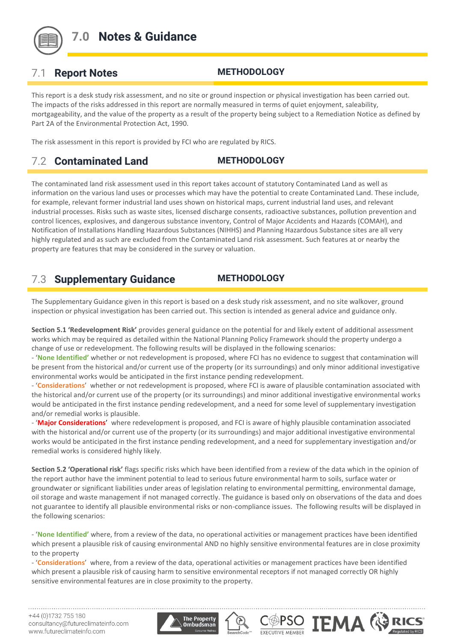

## **7.0 Notes & Guidance**

## 7.1 **Report Notes METHODOLOGY**

This report is a desk study risk assessment, and no site or ground inspection or physical investigation has been carried out. The impacts of the risks addressed in this report are normally measured in terms of quiet enjoyment, saleability, mortgageability, and the value of the property as a result of the property being subject to a Remediation Notice as defined by Part 2A of the Environmental Protection Act, 1990.

The risk assessment in this report is provided by FCI who are regulated by RICS.

## 7.2 **Contaminated Land METHODOLOGY**

The contaminated land risk assessment used in this report takes account of statutory Contaminated Land as well as information on the various land uses or processes which may have the potential to create Contaminated Land. These include, for example, relevant former industrial land uses shown on historical maps, current industrial land uses, and relevant industrial processes. Risks such as waste sites, licensed discharge consents, radioactive substances, pollution prevention and control licences, explosives, and dangerous substance inventory, Control of Major Accidents and Hazards (COMAH), and Notification of Installations Handling Hazardous Substances (NIHHS) and Planning Hazardous Substance sites are all very highly regulated and as such are excluded from the Contaminated Land risk assessment. Such features at or nearby the property are features that may be considered in the survey or valuation.

## 7.3 **Supplementary Guidance METHODOLOGY**

The Supplementary Guidance given in this report is based on a desk study risk assessment, and no site walkover, ground inspection or physical investigation has been carried out. This section is intended as general advice and guidance only.

**Section 5.1 'Redevelopment Risk'** provides general guidance on the potential for and likely extent of additional assessment works which may be required as detailed within the National Planning Policy Framework should the property undergo a change of use or redevelopment. The following results will be displayed in the following scenarios:

- '**None Identified'** whether or not redevelopment is proposed, where FCI has no evidence to suggest that contamination will be present from the historical and/or current use of the property (or its surroundings) and only minor additional investigative environmental works would be anticipated in the first instance pending redevelopment.

- '**Considerations**' whether or not redevelopment is proposed, where FCI is aware of plausible contamination associated with the historical and/or current use of the property (or its surroundings) and minor additional investigative environmental works would be anticipated in the first instance pending redevelopment, and a need for some level of supplementary investigation and/or remedial works is plausible.

- '**Major Considerations**' where redevelopment is proposed, and FCI is aware of highly plausible contamination associated with the historical and/or current use of the property (or its surroundings) and major additional investigative environmental works would be anticipated in the first instance pending redevelopment, and a need for supplementary investigation and/or remedial works is considered highly likely.

**Section 5.2 'Operational risk'** flags specific risks which have been identified from a review of the data which in the opinion of the report author have the imminent potential to lead to serious future environmental harm to soils, surface water or groundwater or significant liabilities under areas of legislation relating to environmental permitting, environmental damage, oil storage and waste management if not managed correctly. The guidance is based only on observations of the data and does not guarantee to identify all plausible environmental risks or non-compliance issues. The following results will be displayed in the following scenarios:

- '**None Identified'** where, from a review of the data, no operational activities or management practices have been identified which present a plausible risk of causing environmental AND no highly sensitive environmental features are in close proximity to the property

**IEMA <>>>** 

DPSO

- '**Considerations**' where, from a review of the data, operational activities or management practices have been identified which present a plausible risk of causing harm to sensitive environmental receptors if not managed correctly OR highly sensitive environmental features are in close proximity to the property.

+44 (0) 1732 755 180 consultancy@futureclimateinfo.com www.futureclimateinfo.com

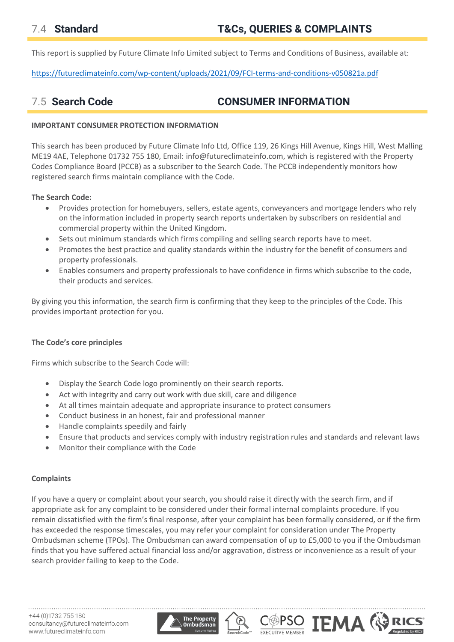This report is supplied by Future Climate Info Limited subject to Terms and Conditions of Business, available at:

<https://futureclimateinfo.com/wp-content/uploads/2021/09/FCI-terms-and-conditions-v050821a.pdf>

## 7.5 **Search Code CONSUMER INFORMATION**

### **IMPORTANT CONSUMER PROTECTION INFORMATION**

This search has been produced by Future Climate Info Ltd, Office 119, 26 Kings Hill Avenue, Kings Hill, West Malling ME19 4AE, Telephone 01732 755 180, Email: info@futureclimateinfo.com, which is registered with the Property Codes Compliance Board (PCCB) as a subscriber to the Search Code. The PCCB independently monitors how registered search firms maintain compliance with the Code.

### **The Search Code:**

- Provides protection for homebuyers, sellers, estate agents, conveyancers and mortgage lenders who rely on the information included in property search reports undertaken by subscribers on residential and commercial property within the United Kingdom.
- Sets out minimum standards which firms compiling and selling search reports have to meet.
- Promotes the best practice and quality standards within the industry for the benefit of consumers and property professionals.
- Enables consumers and property professionals to have confidence in firms which subscribe to the code, their products and services.

By giving you this information, the search firm is confirming that they keep to the principles of the Code. This provides important protection for you.

### **The Code's core principles**

Firms which subscribe to the Search Code will:

- Display the Search Code logo prominently on their search reports.
- Act with integrity and carry out work with due skill, care and diligence
- At all times maintain adequate and appropriate insurance to protect consumers
- Conduct business in an honest, fair and professional manner
- Handle complaints speedily and fairly
- Ensure that products and services comply with industry registration rules and standards and relevant laws
- Monitor their compliance with the Code

### **Complaints**

If you have a query or complaint about your search, you should raise it directly with the search firm, and if appropriate ask for any complaint to be considered under their formal internal complaints procedure. If you remain dissatisfied with the firm's final response, after your complaint has been formally considered, or if the firm has exceeded the response timescales, you may refer your complaint for consideration under The Property Ombudsman scheme (TPOs). The Ombudsman can award compensation of up to £5,000 to you if the Ombudsman finds that you have suffered actual financial loss and/or aggravation, distress or inconvenience as a result of your search provider failing to keep to the Code.

**IEMA** 

**EXECUTIVE MEMBER**